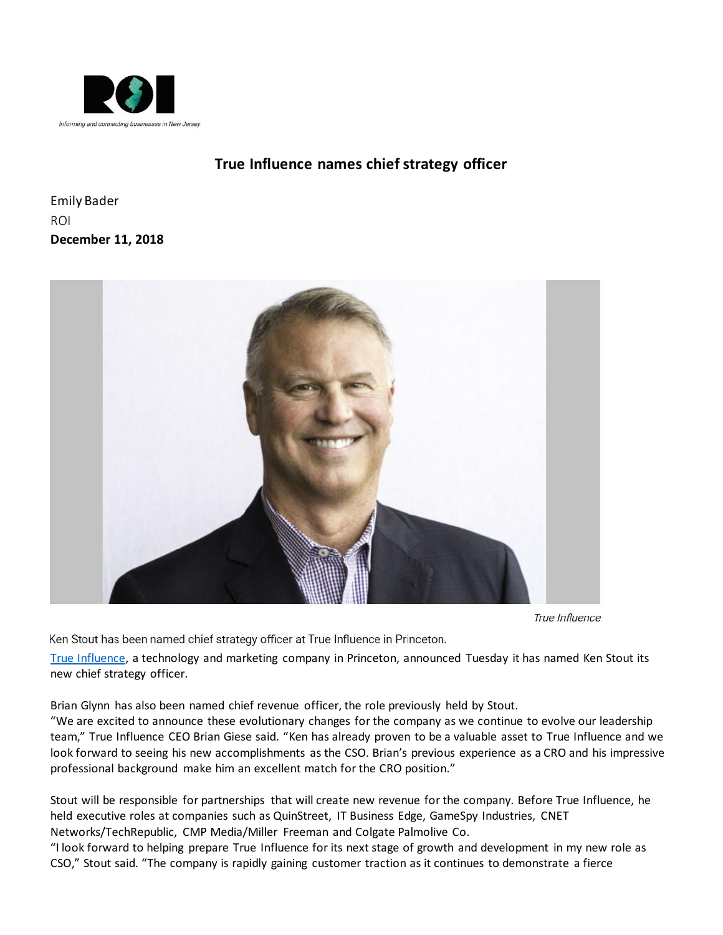

## **[True Influence names chief strategy officer](http://www.roi-nj.com/2018/12/11/tech/true-influence-names-chief-strategy-officer/)**

Emily Bader ROI **December 11, 2018**



**True Influence** 

Ken Stout has been named chief strategy officer at True Influence in Princeton.

[True Influence,](https://trueinfluence.com/) a technology and marketing company in Princeton, announced Tuesday it has named Ken Stout its new chief strategy officer.

Brian Glynn has also been named chief revenue officer, the role previously held by Stout.

"We are excited to announce these evolutionary changes for the company as we continue to evolve our leadership team," True Influence CEO Brian Giese said. "Ken has already proven to be a valuable asset to True Influence and we look forward to seeing his new accomplishments as the CSO. Brian's previous experience as a CRO and his impressive professional background make him an excellent match for the CRO position."

Stout will be responsible for partnerships that will create new revenue for the company. Before True Influence, he held executive roles at companies such as QuinStreet, IT Business Edge, GameSpy Industries, CNET Networks/TechRepublic, CMP Media/Miller Freeman and Colgate Palmolive Co.

"I look forward to helping prepare True Influence for its next stage of growth and development in my new role as CSO," Stout said. "The company is rapidly gaining customer traction as it continues to demonstrate a fierce